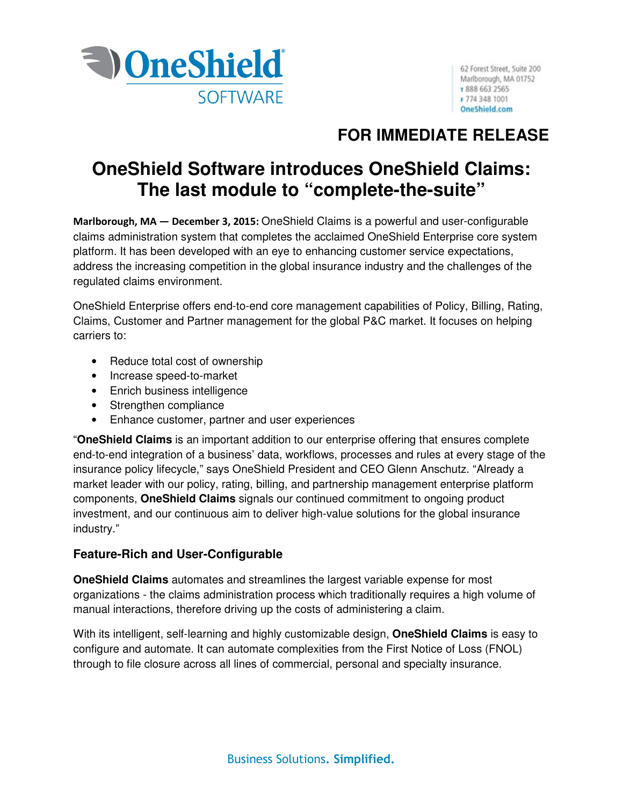

## **FOR IMMEDIATE RELEASE**

# **OneShield Software introduces OneShield Claims: The last module to "complete-the-suite"**

Marlborough, MA — December 3, 2015: OneShield Claims is a powerful and user-configurable claims administration system that completes the acclaimed OneShield Enterprise core system platform. It has been developed with an eye to enhancing customer service expectations, address the increasing competition in the global insurance industry and the challenges of the regulated claims environment.

OneShield Enterprise offers end-to-end core management capabilities of Policy, Billing, Rating, Claims, Customer and Partner management for the global P&C market. It focuses on helping carriers to:

- Reduce total cost of ownership
- Increase speed-to-market
- Enrich business intelligence
- Strengthen compliance
- Enhance customer, partner and user experiences

"**OneShield Claims** is an important addition to our enterprise offering that ensures complete end-to-end integration of a business' data, workflows, processes and rules at every stage of the insurance policy lifecycle," says OneShield President and CEO Glenn Anschutz. "Already a market leader with our policy, rating, billing, and partnership management enterprise platform components, **OneShield Claims** signals our continued commitment to ongoing product investment, and our continuous aim to deliver high-value solutions for the global insurance industry."

## **Feature-Rich and User-Configurable**

**OneShield Claims** automates and streamlines the largest variable expense for most organizations - the claims administration process which traditionally requires a high volume of manual interactions, therefore driving up the costs of administering a claim.

With its intelligent, self-learning and highly customizable design, **OneShield Claims** is easy to configure and automate. It can automate complexities from the First Notice of Loss (FNOL) through to file closure across all lines of commercial, personal and specialty insurance.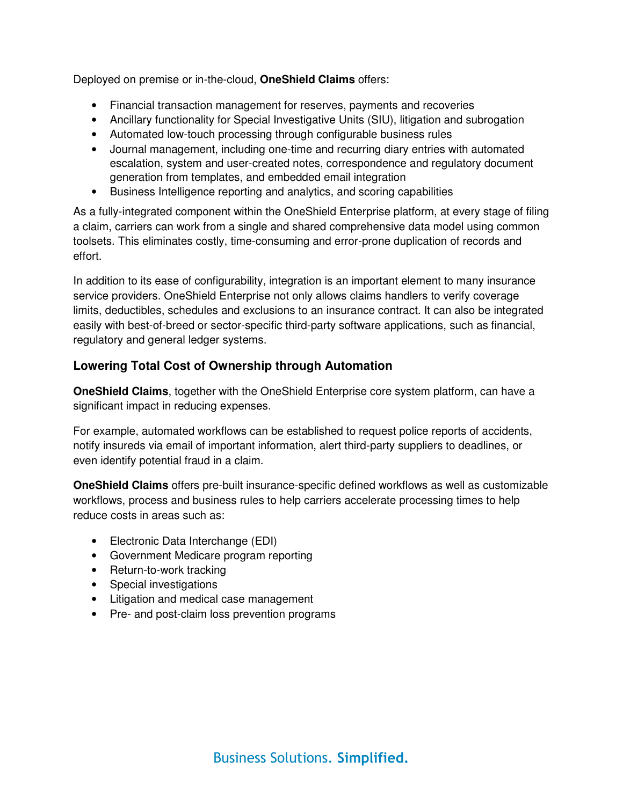Deployed on premise or in-the-cloud, **OneShield Claims** offers:

- Financial transaction management for reserves, payments and recoveries
- Ancillary functionality for Special Investigative Units (SIU), litigation and subrogation
- Automated low-touch processing through configurable business rules
- Journal management, including one-time and recurring diary entries with automated escalation, system and user-created notes, correspondence and regulatory document generation from templates, and embedded email integration
- Business Intelligence reporting and analytics, and scoring capabilities

As a fully-integrated component within the OneShield Enterprise platform, at every stage of filing a claim, carriers can work from a single and shared comprehensive data model using common toolsets. This eliminates costly, time-consuming and error-prone duplication of records and effort.

In addition to its ease of configurability, integration is an important element to many insurance service providers. OneShield Enterprise not only allows claims handlers to verify coverage limits, deductibles, schedules and exclusions to an insurance contract. It can also be integrated easily with best-of-breed or sector-specific third-party software applications, such as financial, regulatory and general ledger systems.

## **Lowering Total Cost of Ownership through Automation**

**OneShield Claims**, together with the OneShield Enterprise core system platform, can have a significant impact in reducing expenses.

For example, automated workflows can be established to request police reports of accidents, notify insureds via email of important information, alert third-party suppliers to deadlines, or even identify potential fraud in a claim.

**OneShield Claims** offers pre-built insurance-specific defined workflows as well as customizable workflows, process and business rules to help carriers accelerate processing times to help reduce costs in areas such as:

- Electronic Data Interchange (EDI)
- Government Medicare program reporting
- Return-to-work tracking
- Special investigations
- Litigation and medical case management
- Pre- and post-claim loss prevention programs